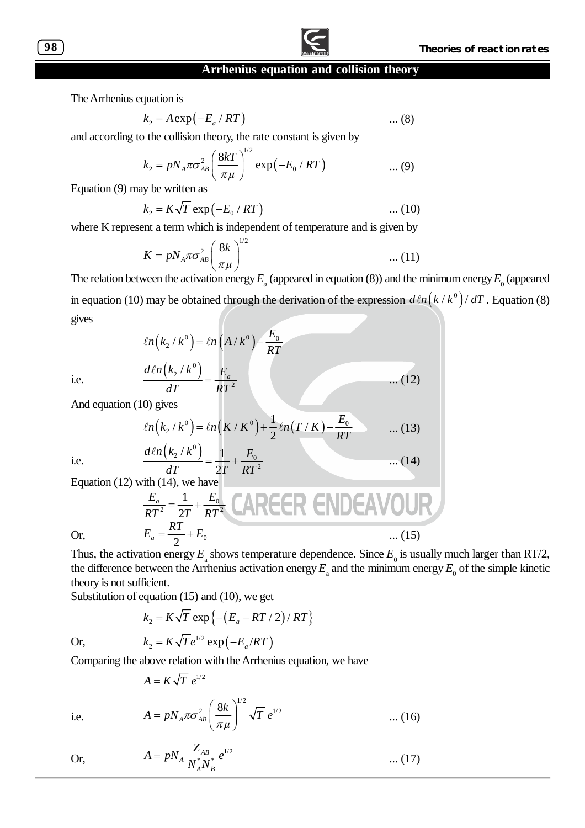

The Arrhenius equation is

$$
k_2 = A \exp(-E_a / RT) \qquad \qquad \dots (8)
$$

and according to the collision theory, the rate constant is given by

$$
k_2 = pN_A \pi \sigma_{AB}^2 \left(\frac{8kT}{\pi \mu}\right)^{1/2} \exp(-E_0 / RT) \quad ...(9)
$$

Equation (9) may be written as

$$
k_2 = K\sqrt{T} \exp(-E_0 / RT) \qquad \qquad \dots (10)
$$

where K represent a term which is independent of temperature and is given by

$$
K = pN_A \pi \sigma_{AB}^2 \left(\frac{8k}{\pi \mu}\right)^{1/2} \tag{11}
$$

The relation between the activation energy  $E_a$  (appeared in equation (8)) and the minimum energy  $E_0$  (appeared in equation (10) may be obtained through the derivation of the expression  $d\ln \left( k/k^{\sigma}\right) /dT$  . Equation (8) gives

$$
\ln(k_2 / k^0) = \ln(A / k^0) - \frac{E_0}{RT}
$$

$$
\frac{d\ln(k_2 / k^0)}{dT} = \frac{E_a}{RT^2} \qquad ...(12)
$$

i.e.

And equation (10) gives

$$
ln(k_2 / k^0) = ln(K/K^0) + \frac{1}{2}ln(T/K) - \frac{E_0}{RT}
$$
 ... (13)  

$$
dln(k_2 / k^0) = 1 - E_0
$$
 ... (14)

i.e.

Equation (12) with (14), we have  
\n
$$
\frac{E_a}{RT^2} = \frac{1}{2T} + \frac{E_0}{RT^2}
$$
\n
$$
E_a = \frac{RT}{2} + E_0
$$
\n
$$
E_a = \frac{RT}{2} + E_0
$$
\n(15)

2

Thus, the activation energy  $E_{\rm a}$  shows temperature dependence. Since  $E_{\rm o}$  is usually much larger than RT/2, the difference between the Arrhenius activation energy  $E_{\rm a}$  and the minimum energy  $E_{\rm o}$  of the simple kinetic theory is not sufficient.

 $\ldots$  (14)

Substitution of equation (15) and (10), we get

$$
k_2 = K\sqrt{T} \exp\left\{-\left(E_a - RT/2\right)/RT\right\}
$$

1/2

 $*_{\mathbf{N}^*}$  $A \frac{L_{AB}}{N^*}$ *A B*

 $A = pN_A \frac{Z_{AB}}{N^* N^*} e^{1/2}$ 

Or,  $k_2 = K\sqrt{T}e^{1/2} \exp(-E_a/RT)$  $k_2 = K\sqrt{T}e^{1/2} \exp(-E_a/RT)$ 

Comparing the above relation with the Arrhenius equation, we have

 $2^{7k}$   $\leftarrow$   $1-\frac{E_0}{k}$ 

 $=\frac{1}{2}$ 

$$
A=K\sqrt{T} e^{1/2}
$$

$$
A = pN_A \pi \sigma_{AB}^2 \left(\frac{8k}{\pi \mu}\right)^{1/2} \sqrt{T} e^{1/2} \qquad \qquad \dots (16)
$$

 $= pN_A \frac{Z_{AB}}{N_A^* N_B^*} e^{1/2}$  ... (17)

Or,

i.e.